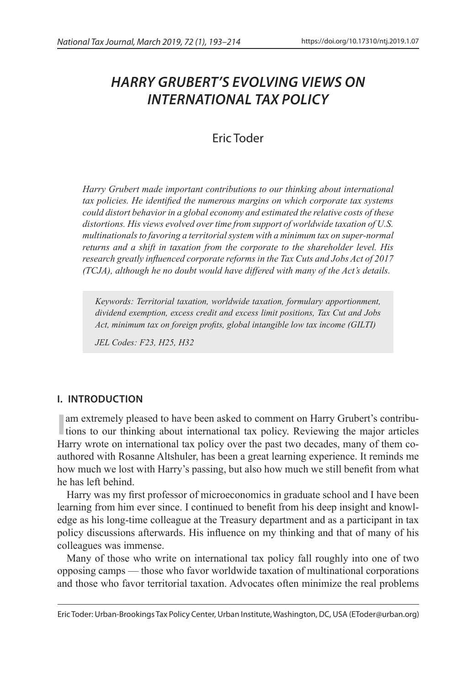# *HARRY GRUBERT'S EVOLVING VIEWS ON INTERNATIONAL TAX POLICY*

## Eric Toder

*Harry Grubert made important contributions to our thinking about international tax policies. He identified the numerous margins on which corporate tax systems could distort behavior in a global economy and estimated the relative costs of these distortions. His views evolved over time from support of worldwide taxation of U.S. multinationals to favoring a territorial system with a minimum tax on super-normal returns and a shift in taxation from the corporate to the shareholder level. His research greatly influenced corporate reforms in the Tax Cuts and Jobs Act of 2017 (TCJA), although he no doubt would have differed with many of the Act's details.*

*Keywords: Territorial taxation, worldwide taxation, formulary apportionment, dividend exemption, excess credit and excess limit positions, Tax Cut and Jobs Act, minimum tax on foreign profits, global intangible low tax income (GILTI)*

*JEL Codes: F23, H25, H32*

## **I. INTRODUCTION**

I am extremely pleased to have been asked to comment on Harry Grubert's contribu-<br>tions to our thinking about international tax policy. Reviewing the major articles Harry wrote on international tax policy over the past two decades, many of them coauthored with Rosanne Altshuler, has been a great learning experience. It reminds me how much we lost with Harry's passing, but also how much we still benefit from what he has left behind.

Harry was my first professor of microeconomics in graduate school and I have been learning from him ever since. I continued to benefit from his deep insight and knowledge as his long-time colleague at the Treasury department and as a participant in tax policy discussions afterwards. His influence on my thinking and that of many of his colleagues was immense.

Many of those who write on international tax policy fall roughly into one of two opposing camps — those who favor worldwide taxation of multinational corporations and those who favor territorial taxation. Advocates often minimize the real problems

Eric Toder: Urban-Brookings Tax Policy Center, Urban Institute, Washington, DC, USA (EToder@urban.org)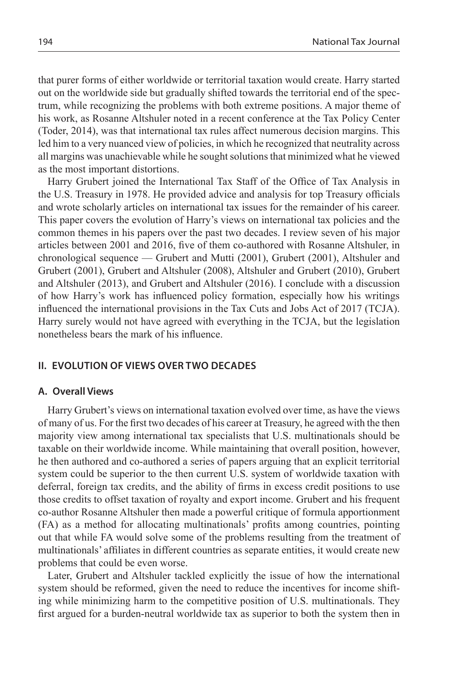that purer forms of either worldwide or territorial taxation would create. Harry started out on the worldwide side but gradually shifted towards the territorial end of the spectrum, while recognizing the problems with both extreme positions. A major theme of his work, as Rosanne Altshuler noted in a recent conference at the Tax Policy Center (Toder, 2014), was that international tax rules affect numerous decision margins. This led him to a very nuanced view of policies, in which he recognized that neutrality across all margins was unachievable while he sought solutions that minimized what he viewed as the most important distortions.

Harry Grubert joined the International Tax Staff of the Office of Tax Analysis in the U.S. Treasury in 1978. He provided advice and analysis for top Treasury officials and wrote scholarly articles on international tax issues for the remainder of his career. This paper covers the evolution of Harry's views on international tax policies and the common themes in his papers over the past two decades. I review seven of his major articles between 2001 and 2016, five of them co-authored with Rosanne Altshuler, in chronological sequence — Grubert and Mutti (2001), Grubert (2001), Altshuler and Grubert (2001), Grubert and Altshuler (2008), Altshuler and Grubert (2010), Grubert and Altshuler (2013), and Grubert and Altshuler (2016). I conclude with a discussion of how Harry's work has influenced policy formation, especially how his writings influenced the international provisions in the Tax Cuts and Jobs Act of 2017 (TCJA). Harry surely would not have agreed with everything in the TCJA, but the legislation nonetheless bears the mark of his influence.

## **II. EVOLUTION OF VIEWS OVER TWO DECADES**

#### **A. Overall Views**

Harry Grubert's views on international taxation evolved over time, as have the views of many of us. For the first two decades of his career at Treasury, he agreed with the then majority view among international tax specialists that U.S. multinationals should be taxable on their worldwide income. While maintaining that overall position, however, he then authored and co-authored a series of papers arguing that an explicit territorial system could be superior to the then current U.S. system of worldwide taxation with deferral, foreign tax credits, and the ability of firms in excess credit positions to use those credits to offset taxation of royalty and export income. Grubert and his frequent co-author Rosanne Altshuler then made a powerful critique of formula apportionment (FA) as a method for allocating multinationals' profits among countries, pointing out that while FA would solve some of the problems resulting from the treatment of multinationals' affiliates in different countries as separate entities, it would create new problems that could be even worse.

Later, Grubert and Altshuler tackled explicitly the issue of how the international system should be reformed, given the need to reduce the incentives for income shifting while minimizing harm to the competitive position of U.S. multinationals. They first argued for a burden-neutral worldwide tax as superior to both the system then in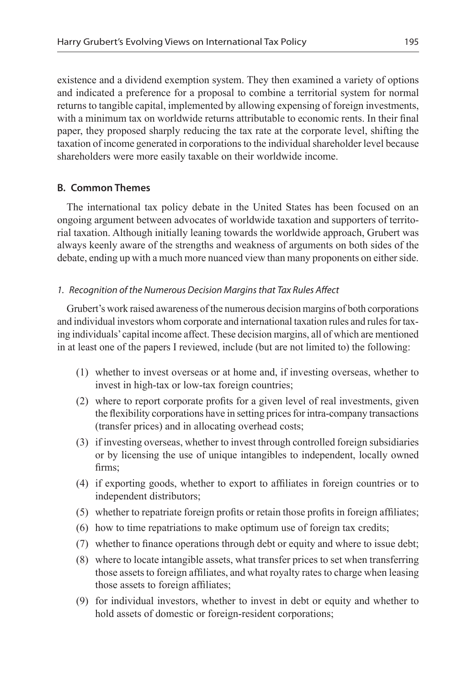existence and a dividend exemption system. They then examined a variety of options and indicated a preference for a proposal to combine a territorial system for normal returns to tangible capital, implemented by allowing expensing of foreign investments, with a minimum tax on worldwide returns attributable to economic rents. In their final paper, they proposed sharply reducing the tax rate at the corporate level, shifting the taxation of income generated in corporations to the individual shareholder level because shareholders were more easily taxable on their worldwide income.

## **B. Common Themes**

The international tax policy debate in the United States has been focused on an ongoing argument between advocates of worldwide taxation and supporters of territorial taxation. Although initially leaning towards the worldwide approach, Grubert was always keenly aware of the strengths and weakness of arguments on both sides of the debate, ending up with a much more nuanced view than many proponents on either side.

## *1. Recognition of the Numerous Decision Margins that Tax Rules Affect*

Grubert's work raised awareness of the numerous decision margins of both corporations and individual investors whom corporate and international taxation rules and rules for taxing individuals' capital income affect. These decision margins, all of which are mentioned in at least one of the papers I reviewed, include (but are not limited to) the following:

- (1) whether to invest overseas or at home and, if investing overseas, whether to invest in high-tax or low-tax foreign countries;
- (2) where to report corporate profits for a given level of real investments, given the flexibility corporations have in setting prices for intra-company transactions (transfer prices) and in allocating overhead costs;
- (3) if investing overseas, whether to invest through controlled foreign subsidiaries or by licensing the use of unique intangibles to independent, locally owned firms;
- (4) if exporting goods, whether to export to affiliates in foreign countries or to independent distributors;
- (5) whether to repatriate foreign profits or retain those profits in foreign affiliates;
- (6) how to time repatriations to make optimum use of foreign tax credits;
- (7) whether to finance operations through debt or equity and where to issue debt;
- (8) where to locate intangible assets, what transfer prices to set when transferring those assets to foreign affiliates, and what royalty rates to charge when leasing those assets to foreign affiliates;
- (9) for individual investors, whether to invest in debt or equity and whether to hold assets of domestic or foreign-resident corporations;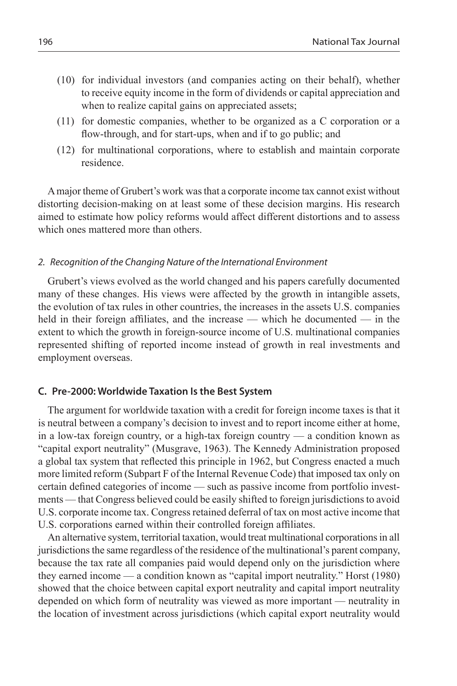- (10) for individual investors (and companies acting on their behalf), whether to receive equity income in the form of dividends or capital appreciation and when to realize capital gains on appreciated assets;
- (11) for domestic companies, whether to be organized as a C corporation or a flow-through, and for start-ups, when and if to go public; and
- (12) for multinational corporations, where to establish and maintain corporate residence.

A major theme of Grubert's work was that a corporate income tax cannot exist without distorting decision-making on at least some of these decision margins. His research aimed to estimate how policy reforms would affect different distortions and to assess which ones mattered more than others.

#### *2. Recognition of the Changing Nature of the International Environment*

Grubert's views evolved as the world changed and his papers carefully documented many of these changes. His views were affected by the growth in intangible assets, the evolution of tax rules in other countries, the increases in the assets U.S. companies held in their foreign affiliates, and the increase — which he documented — in the extent to which the growth in foreign-source income of U.S. multinational companies represented shifting of reported income instead of growth in real investments and employment overseas.

#### **C. Pre-2000: Worldwide Taxation Is the Best System**

The argument for worldwide taxation with a credit for foreign income taxes is that it is neutral between a company's decision to invest and to report income either at home, in a low-tax foreign country, or a high-tax foreign country — a condition known as "capital export neutrality" (Musgrave, 1963). The Kennedy Administration proposed a global tax system that reflected this principle in 1962, but Congress enacted a much more limited reform (Subpart F of the Internal Revenue Code) that imposed tax only on certain defined categories of income — such as passive income from portfolio investments — that Congress believed could be easily shifted to foreign jurisdictions to avoid U.S. corporate income tax. Congress retained deferral of tax on most active income that U.S. corporations earned within their controlled foreign affiliates.

An alternative system, territorial taxation, would treat multinational corporations in all jurisdictions the same regardless of the residence of the multinational's parent company, because the tax rate all companies paid would depend only on the jurisdiction where they earned income — a condition known as "capital import neutrality." Horst (1980) showed that the choice between capital export neutrality and capital import neutrality depended on which form of neutrality was viewed as more important — neutrality in the location of investment across jurisdictions (which capital export neutrality would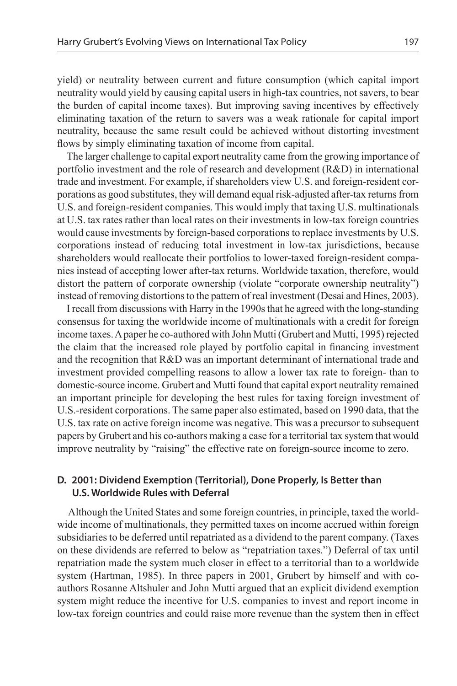yield) or neutrality between current and future consumption (which capital import neutrality would yield by causing capital users in high-tax countries, not savers, to bear the burden of capital income taxes). But improving saving incentives by effectively eliminating taxation of the return to savers was a weak rationale for capital import neutrality, because the same result could be achieved without distorting investment flows by simply eliminating taxation of income from capital.

The larger challenge to capital export neutrality came from the growing importance of portfolio investment and the role of research and development (R&D) in international trade and investment. For example, if shareholders view U.S. and foreign-resident corporations as good substitutes, they will demand equal risk-adjusted after-tax returns from U.S. and foreign-resident companies. This would imply that taxing U.S. multinationals at U.S. tax rates rather than local rates on their investments in low-tax foreign countries would cause investments by foreign-based corporations to replace investments by U.S. corporations instead of reducing total investment in low-tax jurisdictions, because shareholders would reallocate their portfolios to lower-taxed foreign-resident companies instead of accepting lower after-tax returns. Worldwide taxation, therefore, would distort the pattern of corporate ownership (violate "corporate ownership neutrality") instead of removing distortions to the pattern of real investment (Desai and Hines, 2003).

I recall from discussions with Harry in the 1990s that he agreed with the long-standing consensus for taxing the worldwide income of multinationals with a credit for foreign income taxes. A paper he co-authored with John Mutti (Grubert and Mutti, 1995) rejected the claim that the increased role played by portfolio capital in financing investment and the recognition that R&D was an important determinant of international trade and investment provided compelling reasons to allow a lower tax rate to foreign- than to domestic-source income. Grubert and Mutti found that capital export neutrality remained an important principle for developing the best rules for taxing foreign investment of U.S.-resident corporations. The same paper also estimated, based on 1990 data, that the U.S. tax rate on active foreign income was negative. This was a precursor to subsequent papers by Grubert and his co-authors making a case for a territorial tax system that would improve neutrality by "raising" the effective rate on foreign-source income to zero.

#### **D. 2001: Dividend Exemption (Territorial), Done Properly, Is Better than U.S. Worldwide Rules with Deferral**

 Although the United States and some foreign countries, in principle, taxed the worldwide income of multinationals, they permitted taxes on income accrued within foreign subsidiaries to be deferred until repatriated as a dividend to the parent company. (Taxes on these dividends are referred to below as "repatriation taxes.") Deferral of tax until repatriation made the system much closer in effect to a territorial than to a worldwide system (Hartman, 1985). In three papers in 2001, Grubert by himself and with coauthors Rosanne Altshuler and John Mutti argued that an explicit dividend exemption system might reduce the incentive for U.S. companies to invest and report income in low-tax foreign countries and could raise more revenue than the system then in effect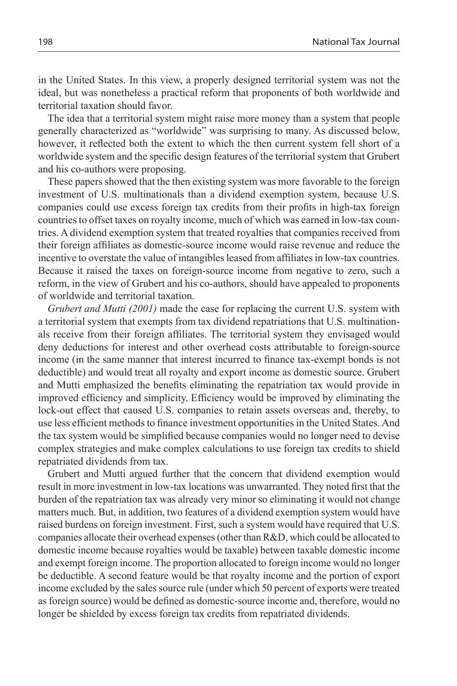in the United States. In this view, a properly designed territorial system was not the ideal, but was nonetheless a practical reform that proponents of both worldwide and territorial taxation should favor.

The idea that a territorial system might raise more money than a system that people generally characterized as "worldwide" was surprising to many. As discussed below, however, it reflected both the extent to which the then current system fell short of a worldwide system and the specific design features of the territorial system that Grubert and his co-authors were proposing.

These papers showed that the then existing system was more favorable to the foreign investment of U.S. multinationals than a dividend exemption system, because U.S. companies could use excess foreign tax credits from their profits in high-tax foreign countries to offset taxes on royalty income, much of which was earned in low-tax countries. A dividend exemption system that treated royalties that companies received from their foreign affiliates as domestic-source income would raise revenue and reduce the incentive to overstate the value of intangibles leased from affiliates in low-tax countries. Because it raised the taxes on foreign-source income from negative to zero, such a reform, in the view of Grubert and his co-authors, should have appealed to proponents of worldwide and territorial taxation.

*Grubert and Mutti (2001)* made the case for replacing the current U.S. system with a territorial system that exempts from tax dividend repatriations that U.S. multinationals receive from their foreign affiliates. The territorial system they envisaged would deny deductions for interest and other overhead costs attributable to foreign-source income (in the same manner that interest incurred to finance tax-exempt bonds is not deductible) and would treat all royalty and export income as domestic source. Grubert and Mutti emphasized the benefits eliminating the repatriation tax would provide in improved efficiency and simplicity. Efficiency would be improved by eliminating the lock-out effect that caused U.S. companies to retain assets overseas and, thereby, to use less efficient methods to finance investment opportunities in the United States. And the tax system would be simplified because companies would no longer need to devise complex strategies and make complex calculations to use foreign tax credits to shield repatriated dividends from tax.

Grubert and Mutti argued further that the concern that dividend exemption would result in more investment in low-tax locations was unwarranted. They noted first that the burden of the repatriation tax was already very minor so eliminating it would not change matters much. But, in addition, two features of a dividend exemption system would have raised burdens on foreign investment. First, such a system would have required that U.S. companies allocate their overhead expenses (other than R&D, which could be allocated to domestic income because royalties would be taxable) between taxable domestic income and exempt foreign income. The proportion allocated to foreign income would no longer be deductible. A second feature would be that royalty income and the portion of export income excluded by the sales source rule (under which 50 percent of exports were treated as foreign source) would be defined as domestic-source income and, therefore, would no longer be shielded by excess foreign tax credits from repatriated dividends.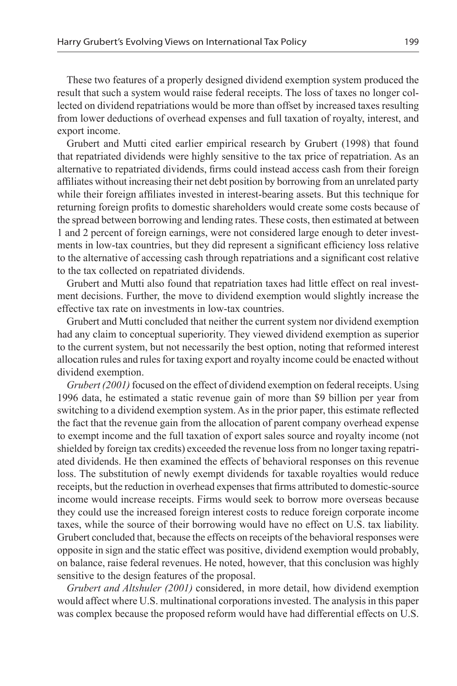These two features of a properly designed dividend exemption system produced the result that such a system would raise federal receipts. The loss of taxes no longer collected on dividend repatriations would be more than offset by increased taxes resulting from lower deductions of overhead expenses and full taxation of royalty, interest, and export income.

Grubert and Mutti cited earlier empirical research by Grubert (1998) that found that repatriated dividends were highly sensitive to the tax price of repatriation. As an alternative to repatriated dividends, firms could instead access cash from their foreign affiliates without increasing their net debt position by borrowing from an unrelated party while their foreign affiliates invested in interest-bearing assets. But this technique for returning foreign profits to domestic shareholders would create some costs because of the spread between borrowing and lending rates. These costs, then estimated at between 1 and 2 percent of foreign earnings, were not considered large enough to deter investments in low-tax countries, but they did represent a significant efficiency loss relative to the alternative of accessing cash through repatriations and a significant cost relative to the tax collected on repatriated dividends.

Grubert and Mutti also found that repatriation taxes had little effect on real investment decisions. Further, the move to dividend exemption would slightly increase the effective tax rate on investments in low-tax countries.

Grubert and Mutti concluded that neither the current system nor dividend exemption had any claim to conceptual superiority. They viewed dividend exemption as superior to the current system, but not necessarily the best option, noting that reformed interest allocation rules and rules for taxing export and royalty income could be enacted without dividend exemption.

*Grubert (2001)* focused on the effect of dividend exemption on federal receipts. Using 1996 data, he estimated a static revenue gain of more than \$9 billion per year from switching to a dividend exemption system. As in the prior paper, this estimate reflected the fact that the revenue gain from the allocation of parent company overhead expense to exempt income and the full taxation of export sales source and royalty income (not shielded by foreign tax credits) exceeded the revenue loss from no longer taxing repatriated dividends. He then examined the effects of behavioral responses on this revenue loss. The substitution of newly exempt dividends for taxable royalties would reduce receipts, but the reduction in overhead expenses that firms attributed to domestic-source income would increase receipts. Firms would seek to borrow more overseas because they could use the increased foreign interest costs to reduce foreign corporate income taxes, while the source of their borrowing would have no effect on U.S. tax liability. Grubert concluded that, because the effects on receipts of the behavioral responses were opposite in sign and the static effect was positive, dividend exemption would probably, on balance, raise federal revenues. He noted, however, that this conclusion was highly sensitive to the design features of the proposal.

*Grubert and Altshuler (2001)* considered, in more detail, how dividend exemption would affect where U.S. multinational corporations invested. The analysis in this paper was complex because the proposed reform would have had differential effects on U.S.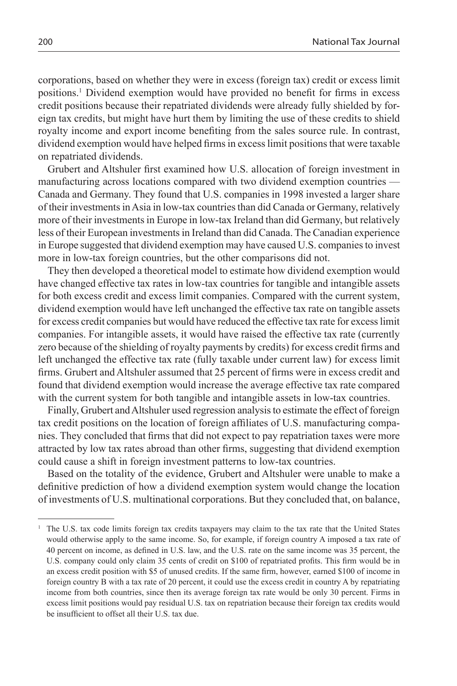corporations, based on whether they were in excess (foreign tax) credit or excess limit positions.1 Dividend exemption would have provided no benefit for firms in excess credit positions because their repatriated dividends were already fully shielded by foreign tax credits, but might have hurt them by limiting the use of these credits to shield royalty income and export income benefiting from the sales source rule. In contrast, dividend exemption would have helped firms in excess limit positions that were taxable on repatriated dividends.

Grubert and Altshuler first examined how U.S. allocation of foreign investment in manufacturing across locations compared with two dividend exemption countries — Canada and Germany. They found that U.S. companies in 1998 invested a larger share of their investments in Asia in low-tax countries than did Canada or Germany, relatively more of their investments in Europe in low-tax Ireland than did Germany, but relatively less of their European investments in Ireland than did Canada. The Canadian experience in Europe suggested that dividend exemption may have caused U.S. companies to invest more in low-tax foreign countries, but the other comparisons did not.

They then developed a theoretical model to estimate how dividend exemption would have changed effective tax rates in low-tax countries for tangible and intangible assets for both excess credit and excess limit companies. Compared with the current system, dividend exemption would have left unchanged the effective tax rate on tangible assets for excess credit companies but would have reduced the effective tax rate for excess limit companies. For intangible assets, it would have raised the effective tax rate (currently zero because of the shielding of royalty payments by credits) for excess credit firms and left unchanged the effective tax rate (fully taxable under current law) for excess limit firms. Grubert and Altshuler assumed that 25 percent of firms were in excess credit and found that dividend exemption would increase the average effective tax rate compared with the current system for both tangible and intangible assets in low-tax countries.

Finally, Grubert and Altshuler used regression analysis to estimate the effect of foreign tax credit positions on the location of foreign affiliates of U.S. manufacturing companies. They concluded that firms that did not expect to pay repatriation taxes were more attracted by low tax rates abroad than other firms, suggesting that dividend exemption could cause a shift in foreign investment patterns to low-tax countries.

Based on the totality of the evidence, Grubert and Altshuler were unable to make a definitive prediction of how a dividend exemption system would change the location of investments of U.S. multinational corporations. But they concluded that, on balance,

<sup>1</sup> The U.S. tax code limits foreign tax credits taxpayers may claim to the tax rate that the United States would otherwise apply to the same income. So, for example, if foreign country A imposed a tax rate of 40 percent on income, as defined in U.S. law, and the U.S. rate on the same income was 35 percent, the U.S. company could only claim 35 cents of credit on \$100 of repatriated profits. This firm would be in an excess credit position with \$5 of unused credits. If the same firm, however, earned \$100 of income in foreign country B with a tax rate of 20 percent, it could use the excess credit in country A by repatriating income from both countries, since then its average foreign tax rate would be only 30 percent. Firms in excess limit positions would pay residual U.S. tax on repatriation because their foreign tax credits would be insufficient to offset all their U.S. tax due.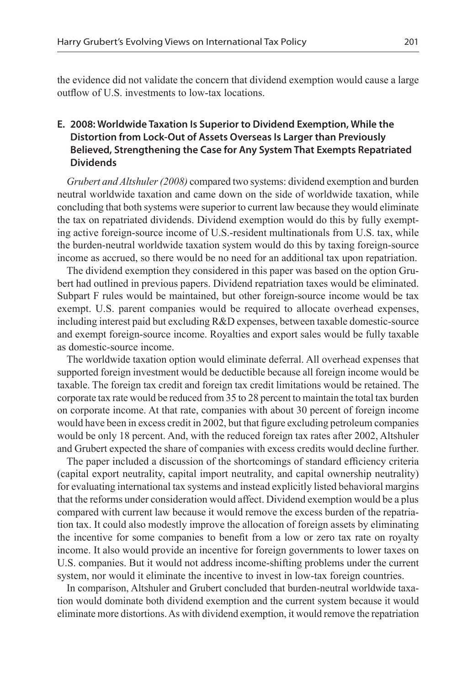the evidence did not validate the concern that dividend exemption would cause a large outflow of U.S. investments to low-tax locations.

## **E. 2008: Worldwide Taxation Is Superior to Dividend Exemption, While the Distortion from Lock-Out of Assets Overseas Is Larger than Previously Believed, Strengthening the Case for Any System That Exempts Repatriated Dividends**

*Grubert and Altshuler (2008)* compared two systems: dividend exemption and burden neutral worldwide taxation and came down on the side of worldwide taxation, while concluding that both systems were superior to current law because they would eliminate the tax on repatriated dividends. Dividend exemption would do this by fully exempting active foreign-source income of U.S.-resident multinationals from U.S. tax, while the burden-neutral worldwide taxation system would do this by taxing foreign-source income as accrued, so there would be no need for an additional tax upon repatriation.

The dividend exemption they considered in this paper was based on the option Grubert had outlined in previous papers. Dividend repatriation taxes would be eliminated. Subpart F rules would be maintained, but other foreign-source income would be tax exempt. U.S. parent companies would be required to allocate overhead expenses, including interest paid but excluding R&D expenses, between taxable domestic-source and exempt foreign-source income. Royalties and export sales would be fully taxable as domestic-source income.

The worldwide taxation option would eliminate deferral. All overhead expenses that supported foreign investment would be deductible because all foreign income would be taxable. The foreign tax credit and foreign tax credit limitations would be retained. The corporate tax rate would be reduced from 35 to 28 percent to maintain the total tax burden on corporate income. At that rate, companies with about 30 percent of foreign income would have been in excess credit in 2002, but that figure excluding petroleum companies would be only 18 percent. And, with the reduced foreign tax rates after 2002, Altshuler and Grubert expected the share of companies with excess credits would decline further.

The paper included a discussion of the shortcomings of standard efficiency criteria (capital export neutrality, capital import neutrality, and capital ownership neutrality) for evaluating international tax systems and instead explicitly listed behavioral margins that the reforms under consideration would affect. Dividend exemption would be a plus compared with current law because it would remove the excess burden of the repatriation tax. It could also modestly improve the allocation of foreign assets by eliminating the incentive for some companies to benefit from a low or zero tax rate on royalty income. It also would provide an incentive for foreign governments to lower taxes on U.S. companies. But it would not address income-shifting problems under the current system, nor would it eliminate the incentive to invest in low-tax foreign countries.

In comparison, Altshuler and Grubert concluded that burden-neutral worldwide taxation would dominate both dividend exemption and the current system because it would eliminate more distortions. As with dividend exemption, it would remove the repatriation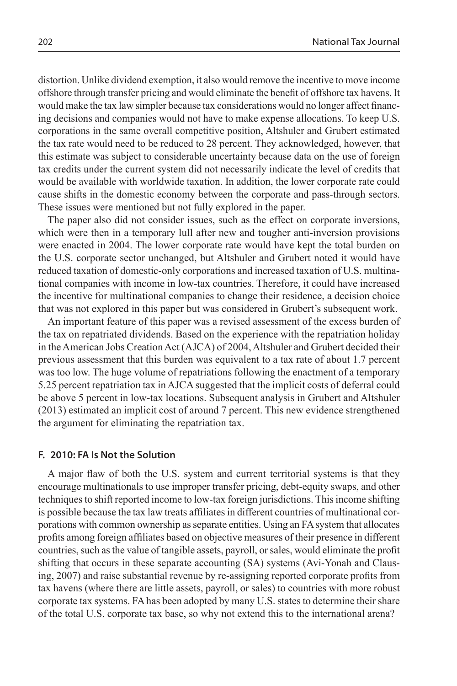distortion. Unlike dividend exemption, it also would remove the incentive to move income offshore through transfer pricing and would eliminate the benefit of offshore tax havens. It would make the tax law simpler because tax considerations would no longer affect financing decisions and companies would not have to make expense allocations. To keep U.S. corporations in the same overall competitive position, Altshuler and Grubert estimated the tax rate would need to be reduced to 28 percent. They acknowledged, however, that this estimate was subject to considerable uncertainty because data on the use of foreign tax credits under the current system did not necessarily indicate the level of credits that would be available with worldwide taxation. In addition, the lower corporate rate could cause shifts in the domestic economy between the corporate and pass-through sectors. These issues were mentioned but not fully explored in the paper.

The paper also did not consider issues, such as the effect on corporate inversions, which were then in a temporary lull after new and tougher anti-inversion provisions were enacted in 2004. The lower corporate rate would have kept the total burden on the U.S. corporate sector unchanged, but Altshuler and Grubert noted it would have reduced taxation of domestic-only corporations and increased taxation of U.S. multinational companies with income in low-tax countries. Therefore, it could have increased the incentive for multinational companies to change their residence, a decision choice that was not explored in this paper but was considered in Grubert's subsequent work.

An important feature of this paper was a revised assessment of the excess burden of the tax on repatriated dividends. Based on the experience with the repatriation holiday in the American Jobs Creation Act (AJCA) of 2004, Altshuler and Grubert decided their previous assessment that this burden was equivalent to a tax rate of about 1.7 percent was too low. The huge volume of repatriations following the enactment of a temporary 5.25 percent repatriation tax in AJCA suggested that the implicit costs of deferral could be above 5 percent in low-tax locations. Subsequent analysis in Grubert and Altshuler (2013) estimated an implicit cost of around 7 percent. This new evidence strengthened the argument for eliminating the repatriation tax.

#### **F. 2010: FA Is Not the Solution**

A major flaw of both the U.S. system and current territorial systems is that they encourage multinationals to use improper transfer pricing, debt-equity swaps, and other techniques to shift reported income to low-tax foreign jurisdictions. This income shifting is possible because the tax law treats affiliates in different countries of multinational corporations with common ownership as separate entities. Using an FA system that allocates profits among foreign affiliates based on objective measures of their presence in different countries, such as the value of tangible assets, payroll, or sales, would eliminate the profit shifting that occurs in these separate accounting (SA) systems (Avi-Yonah and Clausing, 2007) and raise substantial revenue by re-assigning reported corporate profits from tax havens (where there are little assets, payroll, or sales) to countries with more robust corporate tax systems. FA has been adopted by many U.S. states to determine their share of the total U.S. corporate tax base, so why not extend this to the international arena?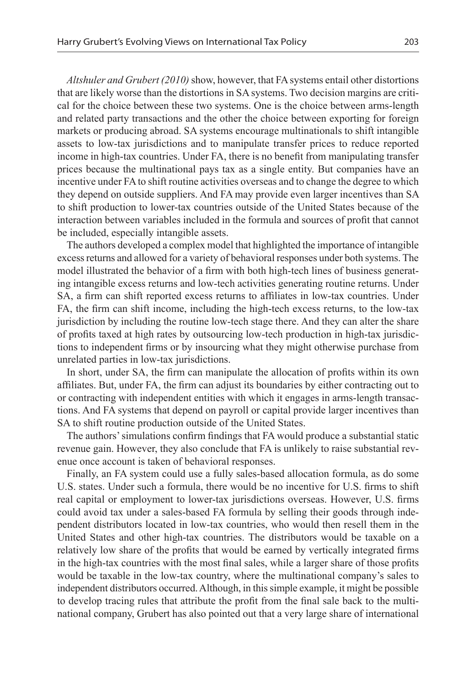*Altshuler and Grubert (2010)* show, however, that FA systems entail other distortions that are likely worse than the distortions in SA systems. Two decision margins are critical for the choice between these two systems. One is the choice between arms-length and related party transactions and the other the choice between exporting for foreign markets or producing abroad. SA systems encourage multinationals to shift intangible assets to low-tax jurisdictions and to manipulate transfer prices to reduce reported income in high-tax countries. Under FA, there is no benefit from manipulating transfer prices because the multinational pays tax as a single entity. But companies have an incentive under FA to shift routine activities overseas and to change the degree to which they depend on outside suppliers. And FA may provide even larger incentives than SA to shift production to lower-tax countries outside of the United States because of the interaction between variables included in the formula and sources of profit that cannot be included, especially intangible assets.

The authors developed a complex model that highlighted the importance of intangible excess returns and allowed for a variety of behavioral responses under both systems. The model illustrated the behavior of a firm with both high-tech lines of business generating intangible excess returns and low-tech activities generating routine returns. Under SA, a firm can shift reported excess returns to affiliates in low-tax countries. Under FA, the firm can shift income, including the high-tech excess returns, to the low-tax jurisdiction by including the routine low-tech stage there. And they can alter the share of profits taxed at high rates by outsourcing low-tech production in high-tax jurisdictions to independent firms or by insourcing what they might otherwise purchase from unrelated parties in low-tax jurisdictions.

In short, under SA, the firm can manipulate the allocation of profits within its own affiliates. But, under FA, the firm can adjust its boundaries by either contracting out to or contracting with independent entities with which it engages in arms-length transactions. And FA systems that depend on payroll or capital provide larger incentives than SA to shift routine production outside of the United States.

The authors' simulations confirm findings that FA would produce a substantial static revenue gain. However, they also conclude that FA is unlikely to raise substantial revenue once account is taken of behavioral responses.

Finally, an FA system could use a fully sales-based allocation formula, as do some U.S. states. Under such a formula, there would be no incentive for U.S. firms to shift real capital or employment to lower-tax jurisdictions overseas. However, U.S. firms could avoid tax under a sales-based FA formula by selling their goods through independent distributors located in low-tax countries, who would then resell them in the United States and other high-tax countries. The distributors would be taxable on a relatively low share of the profits that would be earned by vertically integrated firms in the high-tax countries with the most final sales, while a larger share of those profits would be taxable in the low-tax country, where the multinational company's sales to independent distributors occurred. Although, in this simple example, it might be possible to develop tracing rules that attribute the profit from the final sale back to the multinational company, Grubert has also pointed out that a very large share of international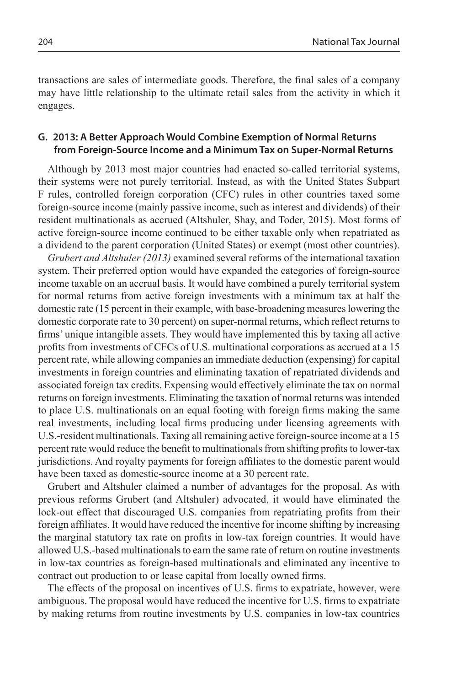transactions are sales of intermediate goods. Therefore, the final sales of a company may have little relationship to the ultimate retail sales from the activity in which it engages.

## **G. 2013: A Better Approach Would Combine Exemption of Normal Returns from Foreign-Source Income and a Minimum Tax on Super-Normal Returns**

Although by 2013 most major countries had enacted so-called territorial systems, their systems were not purely territorial. Instead, as with the United States Subpart F rules, controlled foreign corporation (CFC) rules in other countries taxed some foreign-source income (mainly passive income, such as interest and dividends) of their resident multinationals as accrued (Altshuler, Shay, and Toder, 2015). Most forms of active foreign-source income continued to be either taxable only when repatriated as a dividend to the parent corporation (United States) or exempt (most other countries).

*Grubert and Altshuler (2013)* examined several reforms of the international taxation system. Their preferred option would have expanded the categories of foreign-source income taxable on an accrual basis. It would have combined a purely territorial system for normal returns from active foreign investments with a minimum tax at half the domestic rate (15 percent in their example, with base-broadening measures lowering the domestic corporate rate to 30 percent) on super-normal returns, which reflect returns to firms' unique intangible assets. They would have implemented this by taxing all active profits from investments of CFCs of U.S. multinational corporations as accrued at a 15 percent rate, while allowing companies an immediate deduction (expensing) for capital investments in foreign countries and eliminating taxation of repatriated dividends and associated foreign tax credits. Expensing would effectively eliminate the tax on normal returns on foreign investments. Eliminating the taxation of normal returns was intended to place U.S. multinationals on an equal footing with foreign firms making the same real investments, including local firms producing under licensing agreements with U.S.-resident multinationals. Taxing all remaining active foreign-source income at a 15 percent rate would reduce the benefit to multinationals from shifting profits to lower-tax jurisdictions. And royalty payments for foreign affiliates to the domestic parent would have been taxed as domestic-source income at a 30 percent rate.

Grubert and Altshuler claimed a number of advantages for the proposal. As with previous reforms Grubert (and Altshuler) advocated, it would have eliminated the lock-out effect that discouraged U.S. companies from repatriating profits from their foreign affiliates. It would have reduced the incentive for income shifting by increasing the marginal statutory tax rate on profits in low-tax foreign countries. It would have allowed U.S.-based multinationals to earn the same rate of return on routine investments in low-tax countries as foreign-based multinationals and eliminated any incentive to contract out production to or lease capital from locally owned firms.

The effects of the proposal on incentives of U.S. firms to expatriate, however, were ambiguous. The proposal would have reduced the incentive for U.S. firms to expatriate by making returns from routine investments by U.S. companies in low-tax countries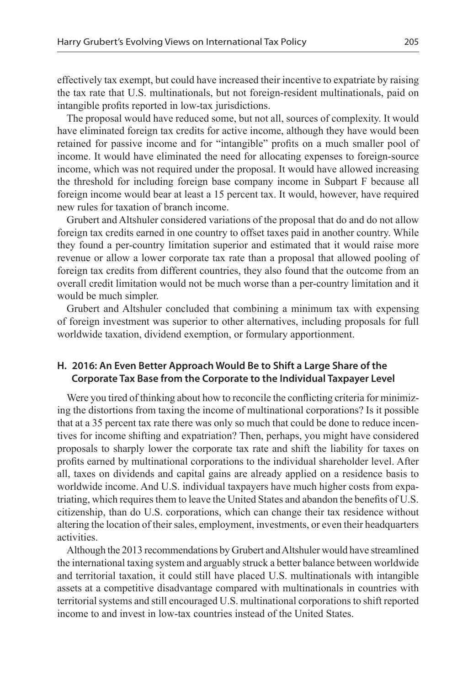effectively tax exempt, but could have increased their incentive to expatriate by raising the tax rate that U.S. multinationals, but not foreign-resident multinationals, paid on intangible profits reported in low-tax jurisdictions.

The proposal would have reduced some, but not all, sources of complexity. It would have eliminated foreign tax credits for active income, although they have would been retained for passive income and for "intangible" profits on a much smaller pool of income. It would have eliminated the need for allocating expenses to foreign-source income, which was not required under the proposal. It would have allowed increasing the threshold for including foreign base company income in Subpart F because all foreign income would bear at least a 15 percent tax. It would, however, have required new rules for taxation of branch income.

Grubert and Altshuler considered variations of the proposal that do and do not allow foreign tax credits earned in one country to offset taxes paid in another country. While they found a per-country limitation superior and estimated that it would raise more revenue or allow a lower corporate tax rate than a proposal that allowed pooling of foreign tax credits from different countries, they also found that the outcome from an overall credit limitation would not be much worse than a per-country limitation and it would be much simpler.

Grubert and Altshuler concluded that combining a minimum tax with expensing of foreign investment was superior to other alternatives, including proposals for full worldwide taxation, dividend exemption, or formulary apportionment.

## **H. 2016: An Even Better Approach Would Be to Shift a Large Share of the Corporate Tax Base from the Corporate to the Individual Taxpayer Level**

Were you tired of thinking about how to reconcile the conflicting criteria for minimizing the distortions from taxing the income of multinational corporations? Is it possible that at a 35 percent tax rate there was only so much that could be done to reduce incentives for income shifting and expatriation? Then, perhaps, you might have considered proposals to sharply lower the corporate tax rate and shift the liability for taxes on profits earned by multinational corporations to the individual shareholder level. After all, taxes on dividends and capital gains are already applied on a residence basis to worldwide income. And U.S. individual taxpayers have much higher costs from expatriating, which requires them to leave the United States and abandon the benefits of U.S. citizenship, than do U.S. corporations, which can change their tax residence without altering the location of their sales, employment, investments, or even their headquarters activities.

Although the 2013 recommendations by Grubert and Altshuler would have streamlined the international taxing system and arguably struck a better balance between worldwide and territorial taxation, it could still have placed U.S. multinationals with intangible assets at a competitive disadvantage compared with multinationals in countries with territorial systems and still encouraged U.S. multinational corporations to shift reported income to and invest in low-tax countries instead of the United States.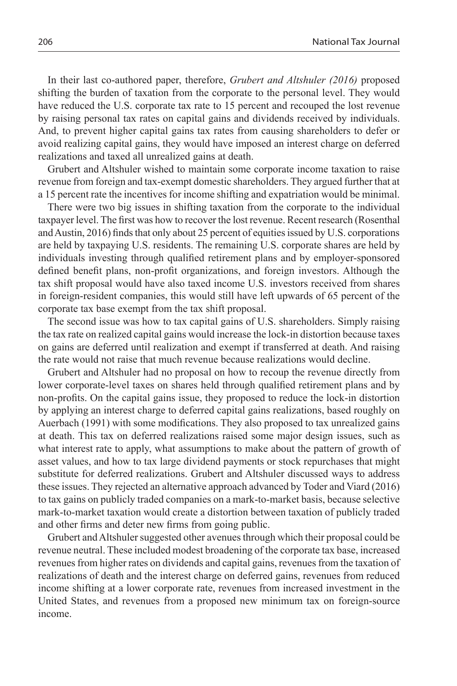In their last co-authored paper, therefore, *Grubert and Altshuler (2016)* proposed shifting the burden of taxation from the corporate to the personal level. They would have reduced the U.S. corporate tax rate to 15 percent and recouped the lost revenue by raising personal tax rates on capital gains and dividends received by individuals. And, to prevent higher capital gains tax rates from causing shareholders to defer or avoid realizing capital gains, they would have imposed an interest charge on deferred realizations and taxed all unrealized gains at death.

Grubert and Altshuler wished to maintain some corporate income taxation to raise revenue from foreign and tax-exempt domestic shareholders. They argued further that at a 15 percent rate the incentives for income shifting and expatriation would be minimal.

There were two big issues in shifting taxation from the corporate to the individual taxpayer level. The first was how to recover the lost revenue. Recent research (Rosenthal and Austin, 2016) finds that only about 25 percent of equities issued by U.S. corporations are held by taxpaying U.S. residents. The remaining U.S. corporate shares are held by individuals investing through qualified retirement plans and by employer-sponsored defined benefit plans, non-profit organizations, and foreign investors. Although the tax shift proposal would have also taxed income U.S. investors received from shares in foreign-resident companies, this would still have left upwards of 65 percent of the corporate tax base exempt from the tax shift proposal.

The second issue was how to tax capital gains of U.S. shareholders. Simply raising the tax rate on realized capital gains would increase the lock-in distortion because taxes on gains are deferred until realization and exempt if transferred at death. And raising the rate would not raise that much revenue because realizations would decline.

Grubert and Altshuler had no proposal on how to recoup the revenue directly from lower corporate-level taxes on shares held through qualified retirement plans and by non-profits. On the capital gains issue, they proposed to reduce the lock-in distortion by applying an interest charge to deferred capital gains realizations, based roughly on Auerbach (1991) with some modifications. They also proposed to tax unrealized gains at death. This tax on deferred realizations raised some major design issues, such as what interest rate to apply, what assumptions to make about the pattern of growth of asset values, and how to tax large dividend payments or stock repurchases that might substitute for deferred realizations. Grubert and Altshuler discussed ways to address these issues. They rejected an alternative approach advanced by Toder and Viard (2016) to tax gains on publicly traded companies on a mark-to-market basis, because selective mark-to-market taxation would create a distortion between taxation of publicly traded and other firms and deter new firms from going public.

Grubert and Altshuler suggested other avenues through which their proposal could be revenue neutral. These included modest broadening of the corporate tax base, increased revenues from higher rates on dividends and capital gains, revenues from the taxation of realizations of death and the interest charge on deferred gains, revenues from reduced income shifting at a lower corporate rate, revenues from increased investment in the United States, and revenues from a proposed new minimum tax on foreign-source income.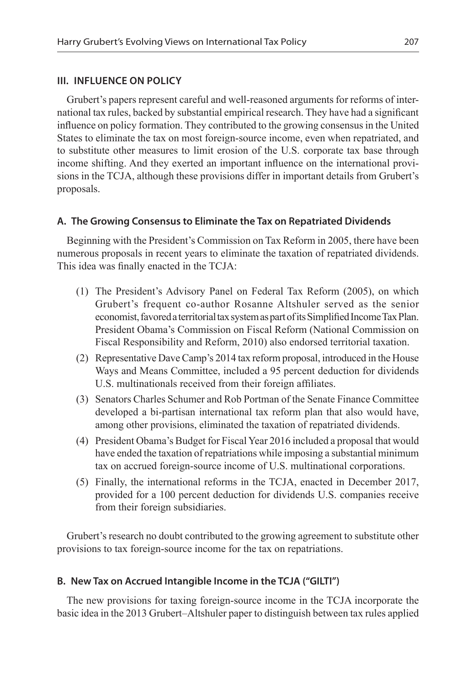#### **III. INFLUENCE ON POLICY**

Grubert's papers represent careful and well-reasoned arguments for reforms of international tax rules, backed by substantial empirical research. They have had a significant influence on policy formation. They contributed to the growing consensus in the United States to eliminate the tax on most foreign-source income, even when repatriated, and to substitute other measures to limit erosion of the U.S. corporate tax base through income shifting. And they exerted an important influence on the international provisions in the TCJA, although these provisions differ in important details from Grubert's proposals.

## **A. The Growing Consensus to Eliminate the Tax on Repatriated Dividends**

Beginning with the President's Commission on Tax Reform in 2005, there have been numerous proposals in recent years to eliminate the taxation of repatriated dividends. This idea was finally enacted in the TCJA:

- (1) The President's Advisory Panel on Federal Tax Reform (2005), on which Grubert's frequent co-author Rosanne Altshuler served as the senior economist, favored a territorial tax system as part of its Simplified Income Tax Plan. President Obama's Commission on Fiscal Reform (National Commission on Fiscal Responsibility and Reform, 2010) also endorsed territorial taxation.
- (2) Representative Dave Camp's 2014 tax reform proposal, introduced in the House Ways and Means Committee, included a 95 percent deduction for dividends U.S. multinationals received from their foreign affiliates.
- (3) Senators Charles Schumer and Rob Portman of the Senate Finance Committee developed a bi-partisan international tax reform plan that also would have, among other provisions, eliminated the taxation of repatriated dividends.
- (4) President Obama's Budget for Fiscal Year 2016 included a proposal that would have ended the taxation of repatriations while imposing a substantial minimum tax on accrued foreign-source income of U.S. multinational corporations.
- (5) Finally, the international reforms in the TCJA, enacted in December 2017, provided for a 100 percent deduction for dividends U.S. companies receive from their foreign subsidiaries.

Grubert's research no doubt contributed to the growing agreement to substitute other provisions to tax foreign-source income for the tax on repatriations.

## **B. New Tax on Accrued Intangible Income in the TCJA ("GILTI")**

The new provisions for taxing foreign-source income in the TCJA incorporate the basic idea in the 2013 Grubert–Altshuler paper to distinguish between tax rules applied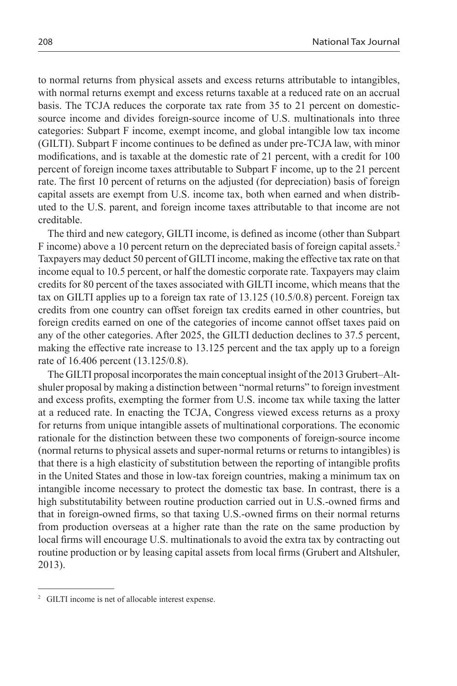to normal returns from physical assets and excess returns attributable to intangibles, with normal returns exempt and excess returns taxable at a reduced rate on an accrual basis. The TCJA reduces the corporate tax rate from 35 to 21 percent on domesticsource income and divides foreign-source income of U.S. multinationals into three categories: Subpart F income, exempt income, and global intangible low tax income (GILTI). Subpart F income continues to be defined as under pre-TCJA law, with minor modifications, and is taxable at the domestic rate of 21 percent, with a credit for 100 percent of foreign income taxes attributable to Subpart F income, up to the 21 percent rate. The first 10 percent of returns on the adjusted (for depreciation) basis of foreign capital assets are exempt from U.S. income tax, both when earned and when distributed to the U.S. parent, and foreign income taxes attributable to that income are not creditable.

The third and new category, GILTI income, is defined as income (other than Subpart F income) above a 10 percent return on the depreciated basis of foreign capital assets.<sup>2</sup> Taxpayers may deduct 50 percent of GILTI income, making the effective tax rate on that income equal to 10.5 percent, or half the domestic corporate rate. Taxpayers may claim credits for 80 percent of the taxes associated with GILTI income, which means that the tax on GILTI applies up to a foreign tax rate of 13.125 (10.5/0.8) percent. Foreign tax credits from one country can offset foreign tax credits earned in other countries, but foreign credits earned on one of the categories of income cannot offset taxes paid on any of the other categories. After 2025, the GILTI deduction declines to 37.5 percent, making the effective rate increase to 13.125 percent and the tax apply up to a foreign rate of 16.406 percent (13.125/0.8).

The GILTI proposal incorporates the main conceptual insight of the 2013 Grubert–Altshuler proposal by making a distinction between "normal returns" to foreign investment and excess profits, exempting the former from U.S. income tax while taxing the latter at a reduced rate. In enacting the TCJA, Congress viewed excess returns as a proxy for returns from unique intangible assets of multinational corporations. The economic rationale for the distinction between these two components of foreign-source income (normal returns to physical assets and super-normal returns or returns to intangibles) is that there is a high elasticity of substitution between the reporting of intangible profits in the United States and those in low-tax foreign countries, making a minimum tax on intangible income necessary to protect the domestic tax base. In contrast, there is a high substitutability between routine production carried out in U.S.-owned firms and that in foreign-owned firms, so that taxing U.S.-owned firms on their normal returns from production overseas at a higher rate than the rate on the same production by local firms will encourage U.S. multinationals to avoid the extra tax by contracting out routine production or by leasing capital assets from local firms (Grubert and Altshuler, 2013).

<sup>2</sup> GILTI income is net of allocable interest expense.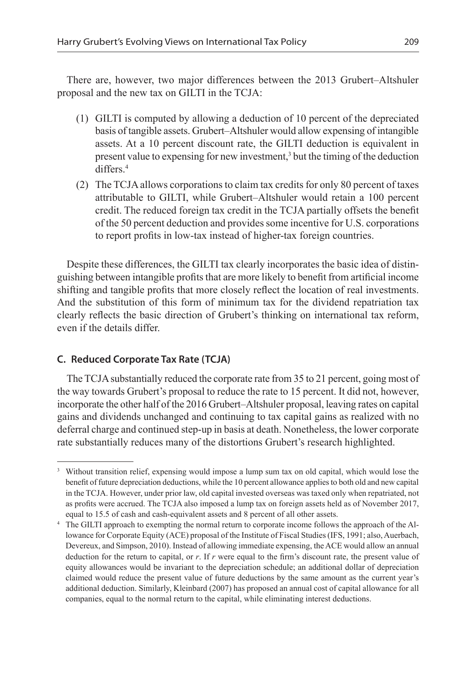There are, however, two major differences between the 2013 Grubert–Altshuler proposal and the new tax on GILTI in the TCJA:

- (1) GILTI is computed by allowing a deduction of 10 percent of the depreciated basis of tangible assets. Grubert–Altshuler would allow expensing of intangible assets. At a 10 percent discount rate, the GILTI deduction is equivalent in present value to expensing for new investment,<sup>3</sup> but the timing of the deduction differs.4
- (2) The TCJA allows corporations to claim tax credits for only 80 percent of taxes attributable to GILTI, while Grubert–Altshuler would retain a 100 percent credit. The reduced foreign tax credit in the TCJA partially offsets the benefit of the 50 percent deduction and provides some incentive for U.S. corporations to report profits in low-tax instead of higher-tax foreign countries.

Despite these differences, the GILTI tax clearly incorporates the basic idea of distinguishing between intangible profits that are more likely to benefit from artificial income shifting and tangible profits that more closely reflect the location of real investments. And the substitution of this form of minimum tax for the dividend repatriation tax clearly reflects the basic direction of Grubert's thinking on international tax reform, even if the details differ.

## **C. Reduced Corporate Tax Rate (TCJA)**

The TCJA substantially reduced the corporate rate from 35 to 21 percent, going most of the way towards Grubert's proposal to reduce the rate to 15 percent. It did not, however, incorporate the other half of the 2016 Grubert–Altshuler proposal, leaving rates on capital gains and dividends unchanged and continuing to tax capital gains as realized with no deferral charge and continued step-up in basis at death. Nonetheless, the lower corporate rate substantially reduces many of the distortions Grubert's research highlighted.

<sup>&</sup>lt;sup>3</sup> Without transition relief, expensing would impose a lump sum tax on old capital, which would lose the benefit of future depreciation deductions, while the 10 percent allowance applies to both old and new capital in the TCJA. However, under prior law, old capital invested overseas was taxed only when repatriated, not as profits were accrued. The TCJA also imposed a lump tax on foreign assets held as of November 2017,

equal to 15.5 of cash and cash-equivalent assets and 8 percent of all other assets. 4 The GILTI approach to exempting the normal return to corporate income follows the approach of the Allowance for Corporate Equity (ACE) proposal of the Institute of Fiscal Studies (IFS, 1991; also, Auerbach, Devereux, and Simpson, 2010). Instead of allowing immediate expensing, the ACE would allow an annual deduction for the return to capital, or *r*. If *r* were equal to the firm's discount rate, the present value of equity allowances would be invariant to the depreciation schedule; an additional dollar of depreciation claimed would reduce the present value of future deductions by the same amount as the current year's additional deduction. Similarly, Kleinbard (2007) has proposed an annual cost of capital allowance for all companies, equal to the normal return to the capital, while eliminating interest deductions.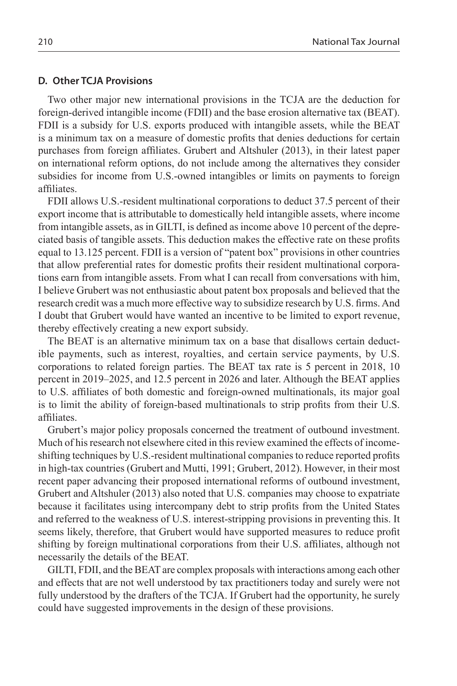#### **D. Other TCJA Provisions**

Two other major new international provisions in the TCJA are the deduction for foreign-derived intangible income (FDII) and the base erosion alternative tax (BEAT). FDII is a subsidy for U.S. exports produced with intangible assets, while the BEAT is a minimum tax on a measure of domestic profits that denies deductions for certain purchases from foreign affiliates. Grubert and Altshuler (2013), in their latest paper on international reform options, do not include among the alternatives they consider subsidies for income from U.S.-owned intangibles or limits on payments to foreign affiliates.

FDII allows U.S.-resident multinational corporations to deduct 37.5 percent of their export income that is attributable to domestically held intangible assets, where income from intangible assets, as in GILTI, is defined as income above 10 percent of the depreciated basis of tangible assets. This deduction makes the effective rate on these profits equal to 13.125 percent. FDII is a version of "patent box" provisions in other countries that allow preferential rates for domestic profits their resident multinational corporations earn from intangible assets. From what I can recall from conversations with him, I believe Grubert was not enthusiastic about patent box proposals and believed that the research credit was a much more effective way to subsidize research by U.S. firms. And I doubt that Grubert would have wanted an incentive to be limited to export revenue, thereby effectively creating a new export subsidy.

The BEAT is an alternative minimum tax on a base that disallows certain deductible payments, such as interest, royalties, and certain service payments, by U.S. corporations to related foreign parties. The BEAT tax rate is 5 percent in 2018, 10 percent in 2019–2025, and 12.5 percent in 2026 and later. Although the BEAT applies to U.S. affiliates of both domestic and foreign-owned multinationals, its major goal is to limit the ability of foreign-based multinationals to strip profits from their U.S. affiliates.

Grubert's major policy proposals concerned the treatment of outbound investment. Much of his research not elsewhere cited in this review examined the effects of incomeshifting techniques by U.S.-resident multinational companies to reduce reported profits in high-tax countries (Grubert and Mutti, 1991; Grubert, 2012). However, in their most recent paper advancing their proposed international reforms of outbound investment, Grubert and Altshuler (2013) also noted that U.S. companies may choose to expatriate because it facilitates using intercompany debt to strip profits from the United States and referred to the weakness of U.S. interest-stripping provisions in preventing this. It seems likely, therefore, that Grubert would have supported measures to reduce profit shifting by foreign multinational corporations from their U.S. affiliates, although not necessarily the details of the BEAT.

GILTI, FDII, and the BEAT are complex proposals with interactions among each other and effects that are not well understood by tax practitioners today and surely were not fully understood by the drafters of the TCJA. If Grubert had the opportunity, he surely could have suggested improvements in the design of these provisions.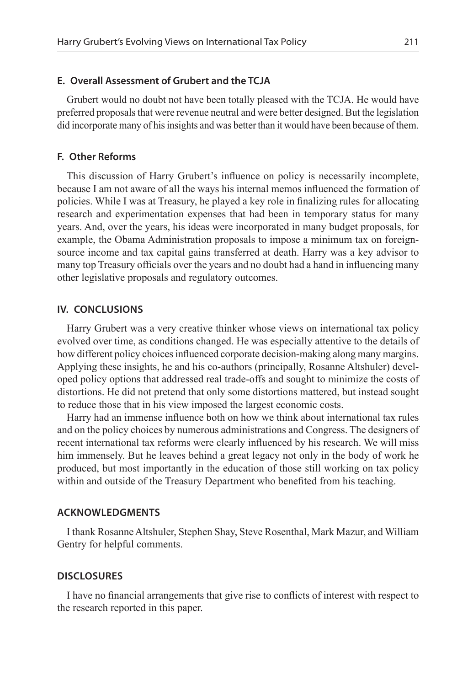#### **E. Overall Assessment of Grubert and the TCJA**

Grubert would no doubt not have been totally pleased with the TCJA. He would have preferred proposals that were revenue neutral and were better designed. But the legislation did incorporate many of his insights and was better than it would have been because of them.

#### **F. Other Reforms**

This discussion of Harry Grubert's influence on policy is necessarily incomplete, because I am not aware of all the ways his internal memos influenced the formation of policies. While I was at Treasury, he played a key role in finalizing rules for allocating research and experimentation expenses that had been in temporary status for many years. And, over the years, his ideas were incorporated in many budget proposals, for example, the Obama Administration proposals to impose a minimum tax on foreignsource income and tax capital gains transferred at death. Harry was a key advisor to many top Treasury officials over the years and no doubt had a hand in influencing many other legislative proposals and regulatory outcomes.

#### **IV. CONCLUSIONS**

Harry Grubert was a very creative thinker whose views on international tax policy evolved over time, as conditions changed. He was especially attentive to the details of how different policy choices influenced corporate decision-making along many margins. Applying these insights, he and his co-authors (principally, Rosanne Altshuler) developed policy options that addressed real trade-offs and sought to minimize the costs of distortions. He did not pretend that only some distortions mattered, but instead sought to reduce those that in his view imposed the largest economic costs.

Harry had an immense influence both on how we think about international tax rules and on the policy choices by numerous administrations and Congress. The designers of recent international tax reforms were clearly influenced by his research. We will miss him immensely. But he leaves behind a great legacy not only in the body of work he produced, but most importantly in the education of those still working on tax policy within and outside of the Treasury Department who benefited from his teaching.

#### **ACKNOWLEDGMENTS**

I thank Rosanne Altshuler, Stephen Shay, Steve Rosenthal, Mark Mazur, and William Gentry for helpful comments.

#### **DISCLOSUREs**

I have no financial arrangements that give rise to conflicts of interest with respect to the research reported in this paper.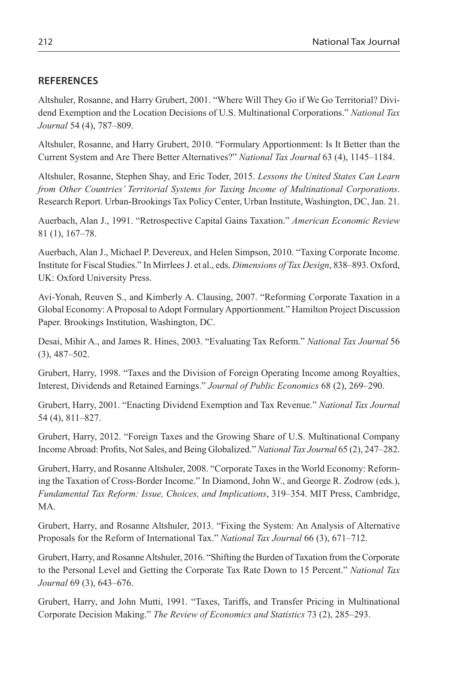## **REFERENCES**

Altshuler, Rosanne, and Harry Grubert, 2001. "Where Will They Go if We Go Territorial? Dividend Exemption and the Location Decisions of U.S. Multinational Corporations." *National Tax Journal* 54 (4), 787–809.

Altshuler, Rosanne, and Harry Grubert, 2010. "Formulary Apportionment: Is It Better than the Current System and Are There Better Alternatives?" *National Tax Journal* 63 (4), 1145–1184.

Altshuler, Rosanne, Stephen Shay, and Eric Toder, 2015. *Lessons the United States Can Learn from Other Countries' Territorial Systems for Taxing Income of Multinational Corporations*. Research Report. Urban-Brookings Tax Policy Center, Urban Institute, Washington, DC, Jan. 21.

Auerbach, Alan J., 1991. "Retrospective Capital Gains Taxation." *American Economic Review* 81 (1), 167–78.

Auerbach, Alan J., Michael P. Devereux, and Helen Simpson, 2010. "Taxing Corporate Income. Institute for Fiscal Studies." In Mirrlees J. et al., eds. *Dimensions of Tax Design*, 838–893. Oxford, UK: Oxford University Press.

Avi-Yonah, Reuven S., and Kimberly A. Clausing, 2007. "Reforming Corporate Taxation in a Global Economy: A Proposal to Adopt Formulary Apportionment." Hamilton Project Discussion Paper. Brookings Institution, Washington, DC.

Desai, Mihir A., and James R. Hines, 2003. "Evaluating Tax Reform." *National Tax Journal* 56 (3), 487–502.

Grubert, Harry, 1998. "Taxes and the Division of Foreign Operating Income among Royalties, Interest, Dividends and Retained Earnings." *Journal of Public Economics* 68 (2), 269–290.

Grubert, Harry, 2001. "Enacting Dividend Exemption and Tax Revenue." *National Tax Journal* 54 (4), 811–827.

Grubert, Harry, 2012. "Foreign Taxes and the Growing Share of U.S. Multinational Company Income Abroad: Profits, Not Sales, and Being Globalized." *National Tax Journal* 65 (2), 247–282.

Grubert, Harry, and Rosanne Altshuler, 2008. "Corporate Taxes in the World Economy: Reforming the Taxation of Cross-Border Income." In Diamond, John W., and George R. Zodrow (eds.), *Fundamental Tax Reform: Issue, Choices, and Implications*, 319–354. MIT Press, Cambridge, MA.

Grubert, Harry, and Rosanne Altshuler, 2013. "Fixing the System: An Analysis of Alternative Proposals for the Reform of International Tax." *National Tax Journal* 66 (3), 671–712.

Grubert, Harry, and Rosanne Altshuler, 2016. "Shifting the Burden of Taxation from the Corporate to the Personal Level and Getting the Corporate Tax Rate Down to 15 Percent." *National Tax Journal* 69 (3), 643–676.

Grubert, Harry, and John Mutti, 1991. "Taxes, Tariffs, and Transfer Pricing in Multinational Corporate Decision Making." *The Review of Economics and Statistics* 73 (2), 285–293.